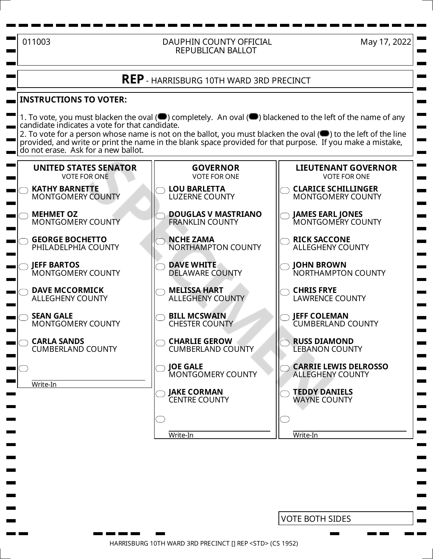## 011003 DAUPHIN COUNTY OFFICIAL REPUBLICAN BALLOT

May 17, 2022

## **REP**- HARRISBURG 10TH WARD 3RD PRECINCT

## **INSTRUCTIONS TO VOTER:**

1. To vote, you must blacken the oval ( $\blacksquare$ ) completely. An oval ( $\blacksquare$ ) blackened to the left of the name of any candidate indicates a vote for that candidate.

2. To vote for a person whose name is not on the ballot, you must blacken the oval  $($ **)** to the left of the line provided, and write or print the name in the blank space provided for that purpose. If you make a mistake, do not erase. Ask for a new ballot.



VOTE BOTH SIDES